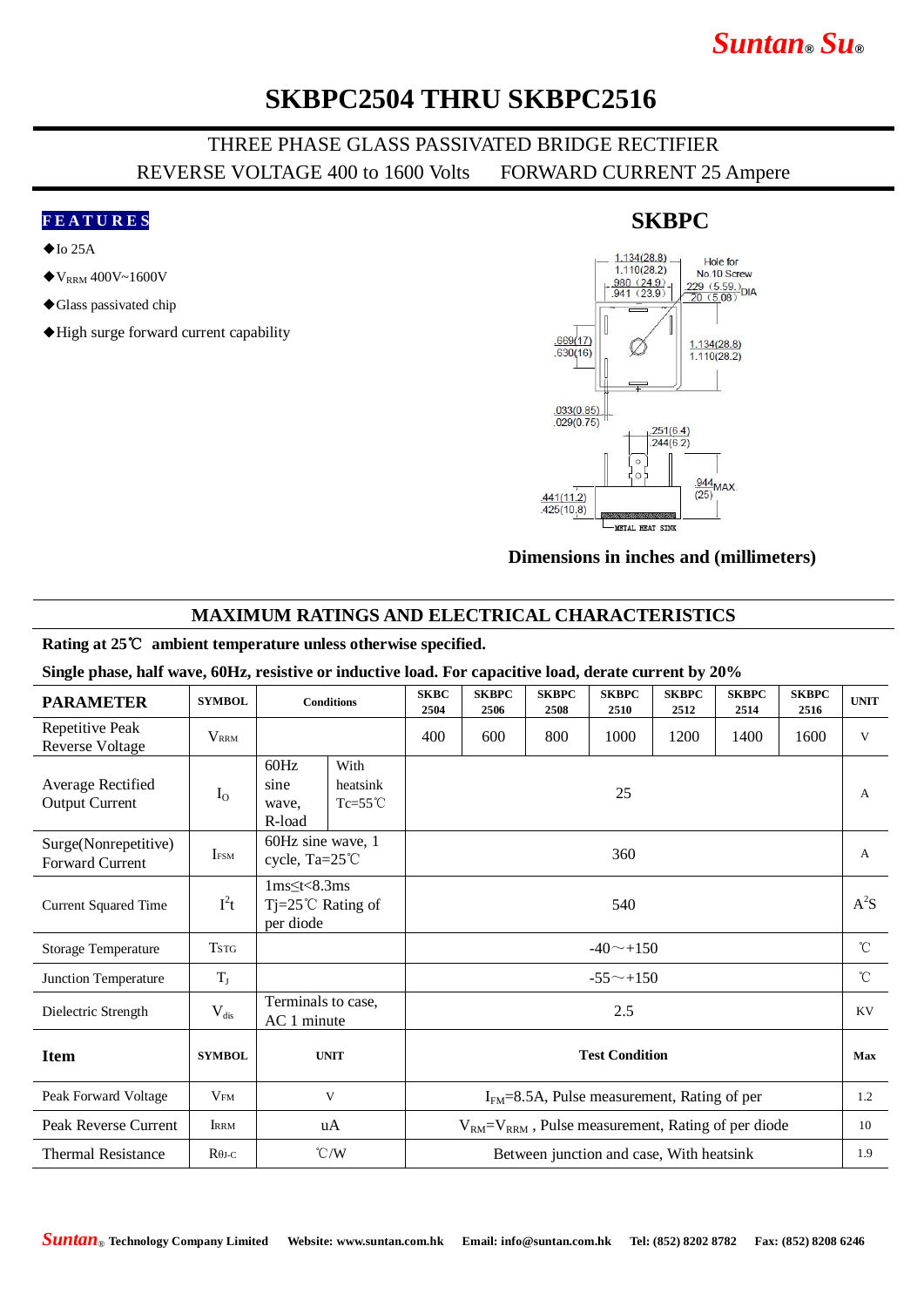# *Suntan***®** *Su***®**

## **SKBPC2504 THRU SKBPC2516**

### THREE PHASE GLASS PASSIVATED BRIDGE RECTIFIER REVERSE VOLTAGE 400 to 1600 Volts FORWARD CURRENT 25 Ampere

#### **F E A T U R E S**

- $\blacklozenge$  Io 25A
- $\blacklozenge$  V<sub>RRM</sub> 400V~1600V
- ◆Glass passivated chip
- ◆High surge forward current capability

#### $1.134(28.8)$ Hole for  $1.110(28.2)$ No.10 Screw  $\frac{980 (24.9)}{941 (23.9)}$ No. Tu Screw<br> $\frac{229 (5.59)}{20 (5.08)}$ DIA  $.669(17)$  $1.134(28.8)$  $.630(16)$  $1.110(28.2)$  $.033(0.85)$  $.029(0.75)$  $.251(6.4)$  $.244(6.2)$  $\epsilon$  $\frac{944}{95}$ MAX  $(25)$  $.441(11.2)$  $.425(10.8)$ **METAL HEAT SINK**

#### **Dimensions in inches and (millimeters)**

### **MAXIMUM RATINGS AND ELECTRICAL CHARACTERISTICS**

#### **Rating at 25**℃ **ambient temperature unless otherwise specified.**

#### **Single phase, half wave, 60Hz, resistive or inductive load. For capacitive load, derate current by 20%**

| <b>PARAMETER</b>                           | <b>SYMBOL</b>           | <b>Conditions</b>                                                       |  | <b>SKBC</b><br>2504                                         | <b>SKBPC</b><br>2506 | <b>SKBPC</b><br>2508 | <b>SKBPC</b><br>2510 | <b>SKBPC</b><br>2512 | <b>SKBPC</b><br>2514 | <b>SKBPC</b><br>2516 | <b>UNIT</b>  |
|--------------------------------------------|-------------------------|-------------------------------------------------------------------------|--|-------------------------------------------------------------|----------------------|----------------------|----------------------|----------------------|----------------------|----------------------|--------------|
| Repetitive Peak<br><b>Reverse Voltage</b>  | <b>V</b> <sub>RRM</sub> |                                                                         |  | 400                                                         | 600                  | 800                  | 1000                 | 1200                 | 1400                 | 1600                 | V            |
| Average Rectified<br><b>Output Current</b> | $I_{O}$                 | 60Hz<br>With<br>sine<br>heatsink<br>$Tc=55^{\circ}C$<br>wave,<br>R-load |  | 25                                                          |                      |                      |                      |                      |                      |                      | A            |
| Surge(Nonrepetitive)<br>Forward Current    | <b>IFSM</b>             | 60Hz sine wave, 1<br>cycle, Ta=25°C                                     |  | 360                                                         |                      |                      |                      |                      |                      |                      | $\mathsf{A}$ |
| <b>Current Squared Time</b>                | $I^2t$                  | $1ms \leq t < 8.3ms$<br>$Tj = 25^{\circ}C$ Rating of<br>per diode       |  | 540                                                         |                      |                      |                      |                      |                      |                      | $A^2S$       |
| <b>Storage Temperature</b>                 | <b>TSTG</b>             |                                                                         |  | $-40$ $-+150$                                               |                      |                      |                      |                      |                      |                      | $^{\circ}$ C |
| Junction Temperature                       | $T_{J}$                 |                                                                         |  | $-55^{\sim}+150$                                            |                      |                      |                      |                      |                      |                      | $^{\circ}$ C |
| Dielectric Strength                        | $V_{dis}$               | Terminals to case,<br>AC 1 minute                                       |  | 2.5                                                         |                      |                      |                      |                      |                      |                      | KV           |
| <b>Item</b>                                | <b>SYMBOL</b>           | <b>UNIT</b>                                                             |  | <b>Test Condition</b>                                       |                      |                      |                      |                      |                      |                      | Max          |
| Peak Forward Voltage                       | V <sub>FM</sub>         | V                                                                       |  | $IFM=8.5A$ , Pulse measurement, Rating of per               |                      |                      |                      |                      |                      |                      | 1.2          |
| Peak Reverse Current                       | <b>IRRM</b>             | uA                                                                      |  | $V_{RM} = V_{RRM}$ , Pulse measurement, Rating of per diode |                      |                      |                      |                      |                      |                      | 10           |
| <b>Thermal Resistance</b>                  | $R\theta$ J-C           | $\degree$ C/W                                                           |  | Between junction and case, With heatsink                    |                      |                      |                      |                      |                      |                      | 1.9          |

### **SKBPC**